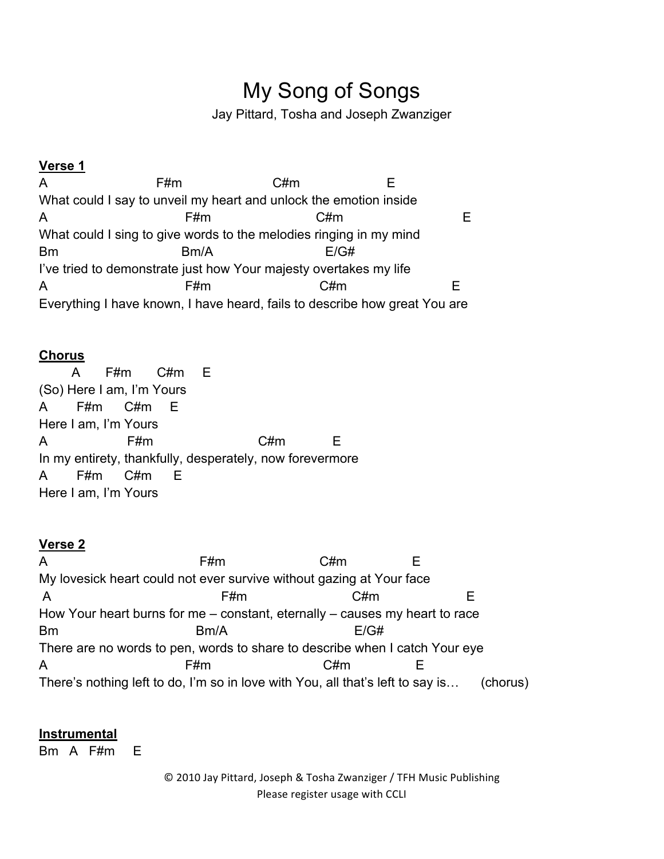# My Song of Songs

Jay Pittard, Tosha and Joseph Zwanziger

## **Verse 1**

A F#m C#m E What could I say to unveil my heart and unlock the emotion inside A F#m C#m E What could I sing to give words to the melodies ringing in my mind Bm Bm/A E/G# I've tried to demonstrate just how Your majesty overtakes my life A F#m C#m E Everything I have known, I have heard, fails to describe how great You are

#### **Chorus**

 A F#m C#m E (So) Here I am, I'm Yours A F#m C#m E Here I am, I'm Yours A F#m C#m E In my entirety, thankfully, desperately, now forevermore A F#m C#m E Here I am, I'm Yours

## **Verse 2**

A F#m C#m E My lovesick heart could not ever survive without gazing at Your face A F#m C#m E How Your heart burns for me – constant, eternally – causes my heart to race Bm Bm/A E/G# There are no words to pen, words to share to describe when I catch Your eye A F#m C#m E There's nothing left to do, I'm so in love with You, all that's left to say is… (chorus)

#### **Instrumental**

Bm A F#m E

© 2010 Jay Pittard, Joseph & Tosha Zwanziger / TFH Music Publishing Please register usage with CCLI